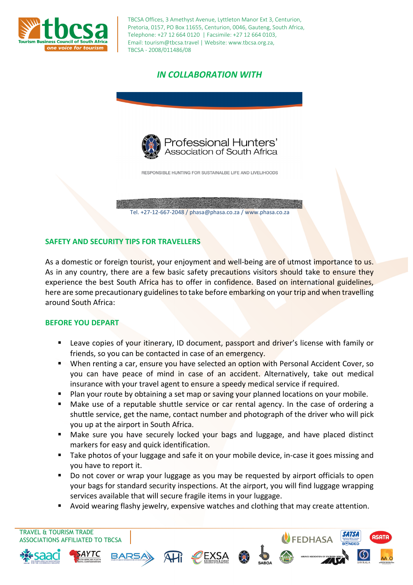

TBCSA Offices, 3 Amethyst Avenue, Lyttleton Manor Ext 3, Centurion, Pretoria, 0157, PO Box 11655, Centurion, 0046, Gauteng, South Africa, Telephone: +27 12 664 0120 | Facsimile: +27 12 664 0103, Email: tourism@tbcsa.travel | Website: www.tbcsa.org.za, TBCSA - 2008/011486/08

# *IN COLLABORATION WITH*



RESPONSIBLE HUNTING FOR SUSTAINALBE LIFE AND LIVELIHOODS

Tel. +27-12-667-2048 / phasa@phasa.co.za / www.phasa.co.za

### **SAFETY AND SECURITY TIPS FOR TRAVELLERS**

As a domestic or foreign tourist, your enjoyment and well-being are of utmost importance to us. As in any country, there are a few basic safety precautions visitors should take to ensure they experience the best South Africa has to offer in confidence. Based on international guidelines, here are some precautionary guidelines to take before embarking on your trip and when travelling around South Africa:

#### **BEFORE YOU DEPART**

- Leave copies of your itinerary, ID document, passport and driver's license with family or friends, so you can be contacted in case of an emergency.
- When renting a car, ensure you have selected an option with Personal Accident Cover, so you can have peace of mind in case of an accident. Alternatively, take out medical insurance with your travel agent to ensure a speedy medical service if required.
- Plan your route by obtaining a set map or saving your planned locations on your mobile.
- Make use of a reputable shuttle service or car rental agency. In the case of ordering a shuttle service, get the name, contact number and photograph of the driver who will pick you up at the airport in South Africa.
- **Make sure you have securely locked your bags and luggage, and have placed distinct** markers for easy and quick identification.
- Take photos of your luggage and safe it on your mobile device, in-case it goes missing and you have to report it.
- Do not cover or wrap your luggage as you may be requested by airport officials to open your bags for standard security inspections. At the airport, you will find luggage wrapping services available that will secure fragile items in your luggage.
- Avoid wearing flashy jewelry, expensive watches and clothing that may create attention.

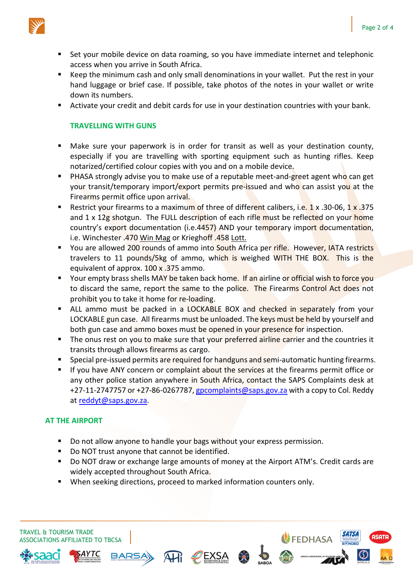

- Set your mobile device on data roaming, so you have immediate internet and telephonic access when you arrive in South Africa.
- Keep the minimum cash and only small denominations in your wallet. Put the rest in your hand luggage or brief case. If possible, take photos of the notes in your wallet or write down its numbers.
- Activate your credit and debit cards for use in your destination countries with your bank.

### **TRAVELLING WITH GUNS**

- Make sure your paperwork is in order for transit as well as your destination county, especially if you are travelling with sporting equipment such as hunting rifles. Keep notarized/certified colour copies with you and on a mobile device.
- **PHASA strongly advise you to make use of a reputable meet-and-greet agent who can get** your transit/temporary import/export permits pre-issued and who can assist you at the Firearms permit office upon arrival.
- Restrict your firearms to a maximum of three of different calibers, i.e. 1 x .30-06, 1 x .375 and 1 x 12g shotgun. The FULL description of each rifle must be reflected on your home country's export documentation (i.e.4457) AND your temporary import documentation, i.e. Winchester .470 Win Mag or Krieghoff .458 Lott.
- You are allowed 200 rounds of ammo into South Africa per rifle. However, IATA restricts travelers to 11 pounds/5kg of ammo, which is weighed WITH THE BOX. This is the equivalent of approx. 100 x .375 ammo.
- **The Step is to some that Step is the U.S. To some that it is also the Step 20** Your empty brass shells MAY be taken back home of ficial wish to force you to discard the same, report the same to the police. The Firearms Control Act does not prohibit you to take it home for re-loading.
- ALL ammo must be packed in a LOCKABLE BOX and checked in separately from your LOCKABLE gun case. All firearms must be unloaded. The keys must be held by yourself and both gun case and ammo boxes must be opened in your presence for inspection.
- The onus rest on you to make sure that your preferred airline carrier and the countries it transits through allows firearms as cargo.
- Special pre-issued permits are required for handguns and semi-automatic hunting firearms.
- If you have ANY concern or complaint about the services at the firearms permit office or any other police station anywhere in South Africa, contact the SAPS Complaints desk at +27-11-2747757 or +27-86-0267787, gpcomplaints@saps.gov.za with a copy to Col. Reddy at reddyt@saps.gov.za.

### **AT THE AIRPORT**

- Do not allow anyone to handle your bags without your express permission.
- Do NOT trust anyone that cannot be identified.
- Do NOT draw or exchange large amounts of money at the Airport ATM's. Credit cards are widely accepted throughout South Africa.
- When seeking directions, proceed to marked information counters only.

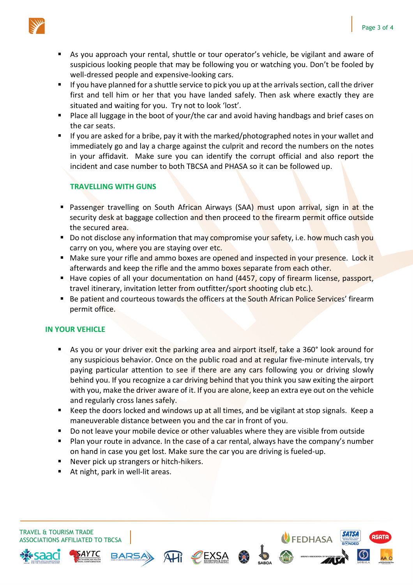

- As you approach your rental, shuttle or tour operator's vehicle, be vigilant and aware of suspicious looking people that may be following you or watching you. Don't be fooled by well-dressed people and expensive-looking cars.
- If you have planned for a shuttle service to pick you up at the arrivals section, call the driver first and tell him or her that you have landed safely. Then ask where exactly they are situated and waiting for you. Try not to look 'lost'.
- Place all luggage in the boot of your/the car and avoid having handbags and brief cases on the car seats.
- If you are asked for a bribe, pay it with the marked/photographed notes in your wallet and immediately go and lay a charge against the culprit and record the numbers on the notes in your affidavit. Make sure you can identify the corrupt official and also report the incident and case number to both TBCSA and PHASA so it can be followed up.

## **TRAVELLING WITH GUNS**

- **Passenger travelling on South African Airways (SAA) must upon arrival, sign in at the** security desk at baggage collection and then proceed to the firearm permit office outside the secured area.
- Do not disclose any information that may compromise your safety, i.e. how much cash you carry on you, where you are staying over etc.
- **Make sure your rifle and ammo boxes are opened and inspected in your presence. Lock it** afterwards and keep the rifle and the ammo boxes separate from each other.
- Have copies of all your documentation on hand (4457, copy of firearm license, passport, travel itinerary, invitation letter from outfitter/sport shooting club etc.).
- **Be patient and courteous towards the officers at the South African Police Services' firearm** permit office.

### **IN YOUR VEHICLE**

- As you or your driver exit the parking area and airport itself, take a 360° look around for any suspicious behavior. Once on the public road and at regular five-minute intervals, try paying particular attention to see if there are any cars following you or driving slowly behind you. If you recognize a car driving behind that you think you saw exiting the airport with you, make the driver aware of it. If you are alone, keep an extra eye out on the vehicle and regularly cross lanes safely.
- Keep the doors locked and windows up at all times, and be vigilant at stop signals. Keep a maneuverable distance between you and the car in front of you.
- Do not leave your mobile device or other valuables where they are visible from outside
- Plan your route in advance. In the case of a car rental, always have the company's number on hand in case you get lost. Make sure the car you are driving is fueled-up.
- Never pick up strangers or hitch-hikers.
- At night, park in well-lit areas.